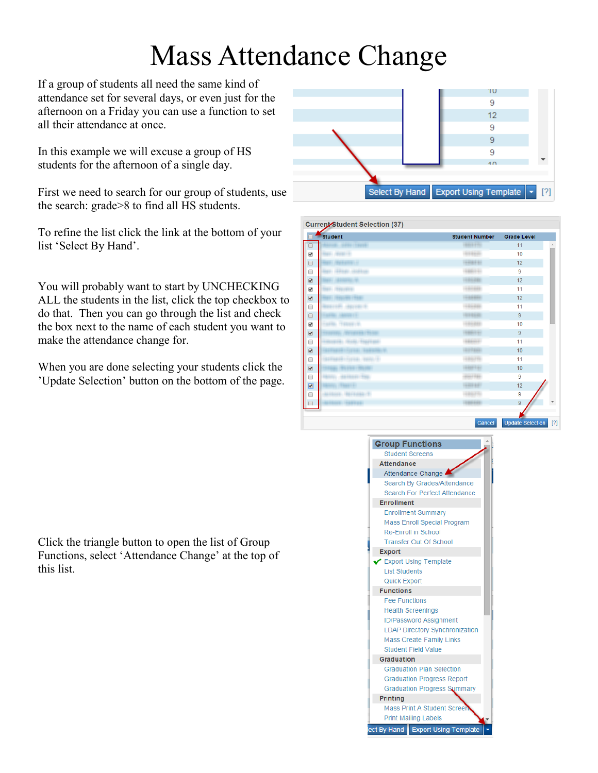## Mass Attendance Change

If a group of students all need the same kind of attendance set for several days, or even just for the afternoon on a Friday you can use a function to set all their attendance at once.

In this example we will excuse a group of HS students for the afternoon of a single day.

First we need to search for our group of students, use the search: grade>8 to find all HS students.

To refine the list click the link at the bottom of your list 'Select By Hand'.

You will probably want to start by UNCHECKING ALL the students in the list, click the top checkbox to do that. Then you can go through the list and check the box next to the name of each student you want to make the attendance change for.

When you are done selecting your students click the 'Update Selection' button on the bottom of the page.



Current Chudent Coloction (27)

| <b>SHILL COURSE</b><br>SALL MARLER<br><b>MARKETTER</b><br><b>HUBER STARTING</b><br><b>HERE'S</b> | 4444444<br><b>AURUAL</b><br><b>HARMAR</b><br>48614 | 11<br>10<br>12<br>9 |
|--------------------------------------------------------------------------------------------------|----------------------------------------------------|---------------------|
|                                                                                                  |                                                    |                     |
|                                                                                                  |                                                    |                     |
|                                                                                                  |                                                    |                     |
|                                                                                                  |                                                    |                     |
|                                                                                                  | <b>HALLMAN</b>                                     | 12                  |
|                                                                                                  | <b>JANAD</b>                                       | 11                  |
|                                                                                                  | $-1.144444441$                                     | 12                  |
| $-4445$ GHz $-5$                                                                                 | <b>TAGBAL</b>                                      | 11                  |
|                                                                                                  | <b>BIREER</b>                                      | 9                   |
| <b>CERTIFICATE</b>                                                                               | <b>Jalan</b>                                       | 10                  |
| <b>MATHEMATIC MARKET</b>                                                                         | -48614-                                            | 9                   |
| <b>SURFITURE</b>                                                                                 | 48664-                                             | 11                  |
| <b>START COMPANY</b>                                                                             | <b>STATISTICS</b>                                  | 10                  |
| FORMAL HANDLET-                                                                                  | 48879                                              | 11                  |
| <b>Hart Street</b>                                                                               | <b>HERMITAL</b>                                    | 10                  |
| <b>ALL PRAIL</b>                                                                                 | <b>HAPRE</b>                                       | 9                   |
| <b>HALLMARK</b>                                                                                  | <b>HALL</b>                                        | 12                  |
|                                                                                                  | 18875                                              | 9                   |
|                                                                                                  | -346664                                            | 9                   |
|                                                                                                  |                                                    | Cancel              |



Click the triangle button to open the list of Group Functions, select 'Attendance Change' at the top of this list.